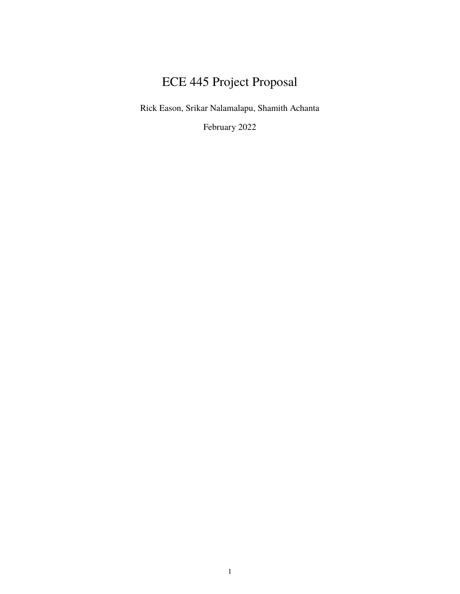# ECE 445 Project Proposal

Rick Eason, Srikar Nalamalapu, Shamith Achanta

February 2022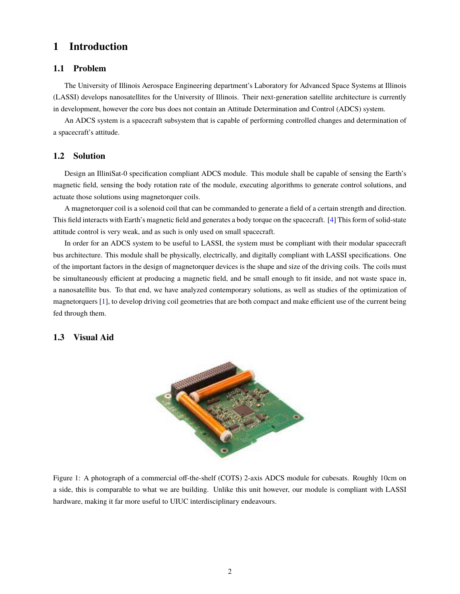# **1 Introduction**

#### **1.1 Problem**

The University of Illinois Aerospace Engineering department's Laboratory for Advanced Space Systems at Illinois (LASSI) develops nanosatellites for the University of Illinois. Their next-generation satellite architecture is currently in development, however the core bus does not contain an Attitude Determination and Control (ADCS) system.

An ADCS system is a spacecraft subsystem that is capable of performing controlled changes and determination of a spacecraft's attitude.

## **1.2 Solution**

Design an IlliniSat-0 specification compliant ADCS module. This module shall be capable of sensing the Earth's magnetic field, sensing the body rotation rate of the module, executing algorithms to generate control solutions, and actuate those solutions using magnetorquer coils.

A magnetorquer coil is a solenoid coil that can be commanded to generate a field of a certain strength and direction. This field interacts with Earth's magnetic field and generates a body torque on the spacecraft. [\[4\]](#page-9-0) This form of solid-state attitude control is very weak, and as such is only used on small spacecraft.

In order for an ADCS system to be useful to LASSI, the system must be compliant with their modular spacecraft bus architecture. This module shall be physically, electrically, and digitally compliant with LASSI specifications. One of the important factors in the design of magnetorquer devices is the shape and size of the driving coils. The coils must be simultaneously efficient at producing a magnetic field, and be small enough to fit inside, and not waste space in, a nanosatellite bus. To that end, we have analyzed contemporary solutions, as well as studies of the optimization of magnetorquers [\[1\]](#page-9-1), to develop driving coil geometries that are both compact and make efficient use of the current being fed through them.

#### **1.3 Visual Aid**



Figure 1: A photograph of a commercial off-the-shelf (COTS) 2-axis ADCS module for cubesats. Roughly 10cm on a side, this is comparable to what we are building. Unlike this unit however, our module is compliant with LASSI hardware, making it far more useful to UIUC interdisciplinary endeavours.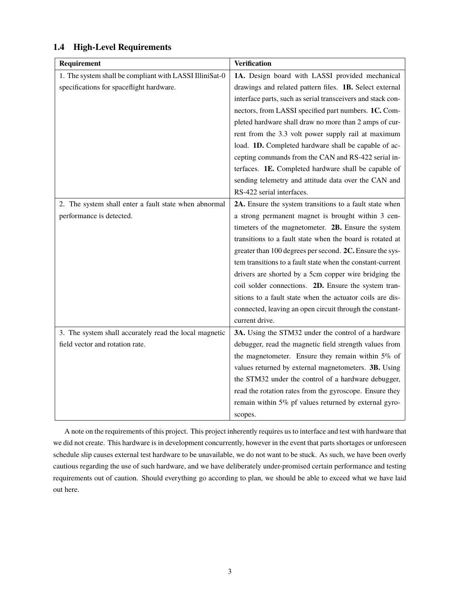| Requirement                                             | <b>Verification</b>                                         |
|---------------------------------------------------------|-------------------------------------------------------------|
| 1. The system shall be compliant with LASSI IlliniSat-0 | 1A. Design board with LASSI provided mechanical             |
| specifications for spaceflight hardware.                | drawings and related pattern files. 1B. Select external     |
|                                                         | interface parts, such as serial transceivers and stack con- |
|                                                         | nectors, from LASSI specified part numbers. 1C. Com-        |
|                                                         | pleted hardware shall draw no more than 2 amps of cur-      |
|                                                         | rent from the 3.3 volt power supply rail at maximum         |
|                                                         | load. 1D. Completed hardware shall be capable of ac-        |
|                                                         | cepting commands from the CAN and RS-422 serial in-         |
|                                                         | terfaces. 1E. Completed hardware shall be capable of        |
|                                                         | sending telemetry and attitude data over the CAN and        |
|                                                         | RS-422 serial interfaces.                                   |
| 2. The system shall enter a fault state when abnormal   | 2A. Ensure the system transitions to a fault state when     |
| performance is detected.                                | a strong permanent magnet is brought within 3 cen-          |
|                                                         | timeters of the magnetometer. <b>2B.</b> Ensure the system  |
|                                                         | transitions to a fault state when the board is rotated at   |
|                                                         | greater than 100 degrees per second. 2C. Ensure the sys-    |
|                                                         | tem transitions to a fault state when the constant-current  |
|                                                         | drivers are shorted by a 5cm copper wire bridging the       |
|                                                         | coil solder connections. 2D. Ensure the system tran-        |
|                                                         | sitions to a fault state when the actuator coils are dis-   |
|                                                         | connected, leaving an open circuit through the constant-    |
|                                                         | current drive.                                              |
| 3. The system shall accurately read the local magnetic  | 3A. Using the STM32 under the control of a hardware         |
| field vector and rotation rate.                         | debugger, read the magnetic field strength values from      |
|                                                         | the magnetometer. Ensure they remain within 5% of           |
|                                                         | values returned by external magnetometers. 3B. Using        |
|                                                         | the STM32 under the control of a hardware debugger,         |
|                                                         | read the rotation rates from the gyroscope. Ensure they     |
|                                                         | remain within 5% pf values returned by external gyro-       |
|                                                         | scopes.                                                     |

# **1.4 High-Level Requirements**

A note on the requirements of this project. This project inherently requires us to interface and test with hardware that we did not create. This hardware is in development concurrently, however in the event that parts shortages or unforeseen schedule slip causes external test hardware to be unavailable, we do not want to be stuck. As such, we have been overly cautious regarding the use of such hardware, and we have deliberately under-promised certain performance and testing requirements out of caution. Should everything go according to plan, we should be able to exceed what we have laid out here.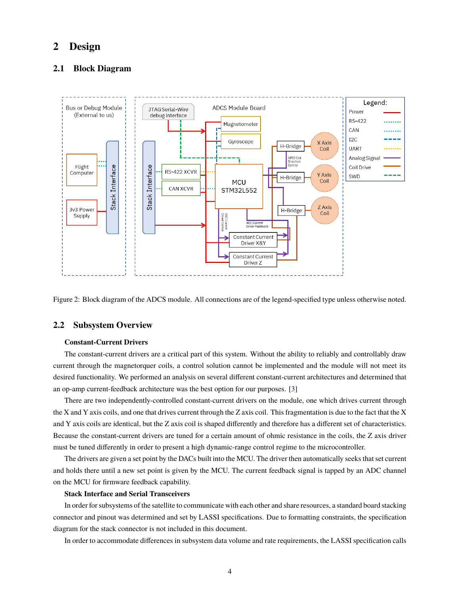# **2 Design**

## **2.1 Block Diagram**



Figure 2: Block diagram of the ADCS module. All connections are of the legend-specified type unless otherwise noted.

## **2.2 Subsystem Overview**

#### **Constant-Current Drivers**

The constant-current drivers are a critical part of this system. Without the ability to reliably and controllably draw current through the magnetorquer coils, a control solution cannot be implemented and the module will not meet its desired functionality. We performed an analysis on several different constant-current architectures and determined that an op-amp current-feedback architecture was the best option for our purposes. [\[3\]](#page-9-2)

There are two independently-controlled constant-current drivers on the module, one which drives current through the X and Y axis coils, and one that drives current through the Z axis coil. This fragmentation is due to the fact that the X and Y axis coils are identical, but the Z axis coil is shaped differently and therefore has a different set of characteristics. Because the constant-current drivers are tuned for a certain amount of ohmic resistance in the coils, the Z axis driver must be tuned differently in order to present a high dynamic-range control regime to the microcontroller.

The drivers are given a set point by the DACs built into the MCU. The driver then automatically seeks that set current and holds there until a new set point is given by the MCU. The current feedback signal is tapped by an ADC channel on the MCU for firmware feedback capability.

#### **Stack Interface and Serial Transceivers**

In order for subsystems of the satellite to communicate with each other and share resources, a standard board stacking connector and pinout was determined and set by LASSI specifications. Due to formatting constraints, the specification diagram for the stack connector is not included in this document.

In order to accommodate differences in subsystem data volume and rate requirements, the LASSI specification calls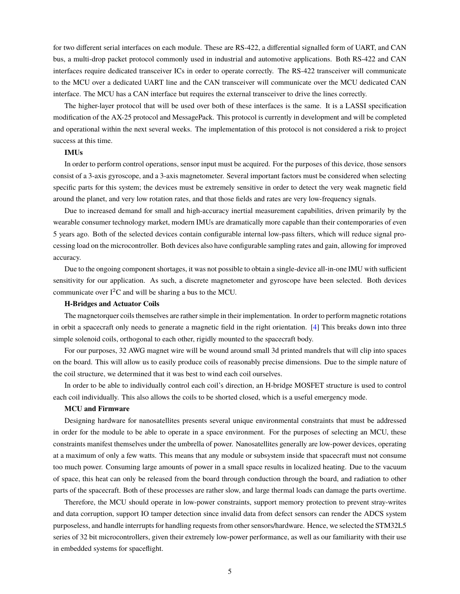for two different serial interfaces on each module. These are RS-422, a differential signalled form of UART, and CAN bus, a multi-drop packet protocol commonly used in industrial and automotive applications. Both RS-422 and CAN interfaces require dedicated transceiver ICs in order to operate correctly. The RS-422 transceiver will communicate to the MCU over a dedicated UART line and the CAN transceiver will communicate over the MCU dedicated CAN interface. The MCU has a CAN interface but requires the external transceiver to drive the lines correctly.

The higher-layer protocol that will be used over both of these interfaces is the same. It is a LASSI specification modification of the AX-25 protocol and MessagePack. This protocol is currently in development and will be completed and operational within the next several weeks. The implementation of this protocol is not considered a risk to project success at this time.

#### **IMUs**

In order to perform control operations, sensor input must be acquired. For the purposes of this device, those sensors consist of a 3-axis gyroscope, and a 3-axis magnetometer. Several important factors must be considered when selecting specific parts for this system; the devices must be extremely sensitive in order to detect the very weak magnetic field around the planet, and very low rotation rates, and that those fields and rates are very low-frequency signals.

Due to increased demand for small and high-accuracy inertial measurement capabilities, driven primarily by the wearable consumer technology market, modern IMUs are dramatically more capable than their contemporaries of even 5 years ago. Both of the selected devices contain configurable internal low-pass filters, which will reduce signal processing load on the microcontroller. Both devices also have configurable sampling rates and gain, allowing for improved accuracy.

Due to the ongoing component shortages, it was not possible to obtain a single-device all-in-one IMU with sufficient sensitivity for our application. As such, a discrete magnetometer and gyroscope have been selected. Both devices communicate over  $I^2C$  and will be sharing a bus to the MCU.

#### **H-Bridges and Actuator Coils**

The magnetorquer coils themselves are rather simple in their implementation. In order to perform magnetic rotations in orbit a spacecraft only needs to generate a magnetic field in the right orientation. [\[4\]](#page-9-0) This breaks down into three simple solenoid coils, orthogonal to each other, rigidly mounted to the spacecraft body.

For our purposes, 32 AWG magnet wire will be wound around small 3d printed mandrels that will clip into spaces on the board. This will allow us to easily produce coils of reasonably precise dimensions. Due to the simple nature of the coil structure, we determined that it was best to wind each coil ourselves.

In order to be able to individually control each coil's direction, an H-bridge MOSFET structure is used to control each coil individually. This also allows the coils to be shorted closed, which is a useful emergency mode.

#### **MCU and Firmware**

Designing hardware for nanosatellites presents several unique environmental constraints that must be addressed in order for the module to be able to operate in a space environment. For the purposes of selecting an MCU, these constraints manifest themselves under the umbrella of power. Nanosatellites generally are low-power devices, operating at a maximum of only a few watts. This means that any module or subsystem inside that spacecraft must not consume too much power. Consuming large amounts of power in a small space results in localized heating. Due to the vacuum of space, this heat can only be released from the board through conduction through the board, and radiation to other parts of the spacecraft. Both of these processes are rather slow, and large thermal loads can damage the parts overtime.

Therefore, the MCU should operate in low-power constraints, support memory protection to prevent stray-writes and data corruption, support IO tamper detection since invalid data from defect sensors can render the ADCS system purposeless, and handle interrupts for handling requests from other sensors/hardware. Hence, we selected the STM32L5 series of 32 bit microcontrollers, given their extremely low-power performance, as well as our familiarity with their use in embedded systems for spaceflight.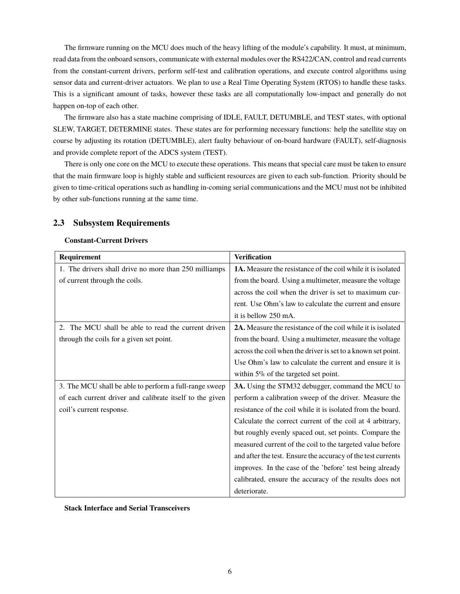The firmware running on the MCU does much of the heavy lifting of the module's capability. It must, at minimum, read data from the onboard sensors, communicate with external modules over the RS422/CAN, control and read currents from the constant-current drivers, perform self-test and calibration operations, and execute control algorithms using sensor data and current-driver actuators. We plan to use a Real Time Operating System (RTOS) to handle these tasks. This is a significant amount of tasks, however these tasks are all computationally low-impact and generally do not happen on-top of each other.

The firmware also has a state machine comprising of IDLE, FAULT, DETUMBLE, and TEST states, with optional SLEW, TARGET, DETERMINE states. These states are for performing necessary functions: help the satellite stay on course by adjusting its rotation (DETUMBLE), alert faulty behaviour of on-board hardware (FAULT), self-diagnosis and provide complete report of the ADCS system (TEST).

There is only one core on the MCU to execute these operations. This means that special care must be taken to ensure that the main firmware loop is highly stable and sufficient resources are given to each sub-function. Priority should be given to time-critical operations such as handling in-coming serial communications and the MCU must not be inhibited by other sub-functions running at the same time.

### **2.3 Subsystem Requirements**

#### **Constant-Current Drivers**

| Requirement                                              | <b>Verification</b>                                                |
|----------------------------------------------------------|--------------------------------------------------------------------|
| 1. The drivers shall drive no more than 250 milliamps    | <b>1A.</b> Measure the resistance of the coil while it is isolated |
| of current through the coils.                            | from the board. Using a multimeter, measure the voltage            |
|                                                          | across the coil when the driver is set to maximum cur-             |
|                                                          | rent. Use Ohm's law to calculate the current and ensure            |
|                                                          | it is bellow 250 mA.                                               |
| 2. The MCU shall be able to read the current driven      | <b>2A.</b> Measure the resistance of the coil while it is isolated |
| through the coils for a given set point.                 | from the board. Using a multimeter, measure the voltage            |
|                                                          | across the coil when the driver is set to a known set point.       |
|                                                          | Use Ohm's law to calculate the current and ensure it is            |
|                                                          | within $5\%$ of the targeted set point.                            |
| 3. The MCU shall be able to perform a full-range sweep   | 3A. Using the STM32 debugger, command the MCU to                   |
| of each current driver and calibrate itself to the given | perform a calibration sweep of the driver. Measure the             |
| coil's current response.                                 | resistance of the coil while it is isolated from the board.        |
|                                                          | Calculate the correct current of the coil at 4 arbitrary,          |
|                                                          | but roughly evenly spaced out, set points. Compare the             |
|                                                          | measured current of the coil to the targeted value before          |
|                                                          | and after the test. Ensure the accuracy of the test currents       |
|                                                          | improves. In the case of the 'before' test being already           |
|                                                          | calibrated, ensure the accuracy of the results does not            |
|                                                          | deteriorate.                                                       |

**Stack Interface and Serial Transceivers**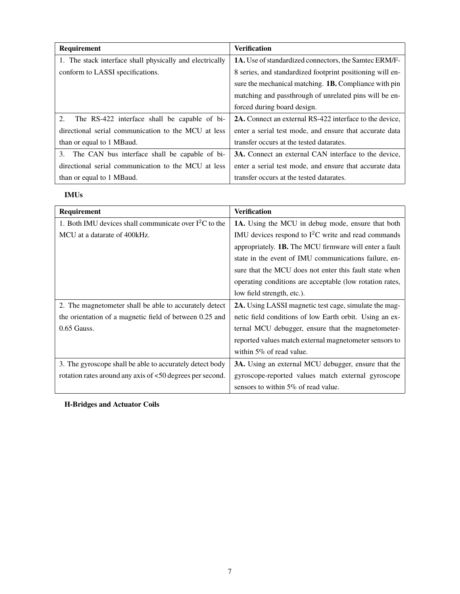| <b>Requirement</b>                                       | <b>Verification</b>                                            |
|----------------------------------------------------------|----------------------------------------------------------------|
| 1. The stack interface shall physically and electrically | <b>1A.</b> Use of standardized connectors, the Samtec ERM/F-   |
| conform to LASSI specifications.                         | 8 series, and standardized footprint positioning will en-      |
|                                                          | sure the mechanical matching. <b>1B.</b> Compliance with pin   |
|                                                          | matching and passthrough of unrelated pins will be en-         |
|                                                          | forced during board design.                                    |
| 2.<br>The RS-422 interface shall be capable of bi-       | <b>2A.</b> Connect an external RS-422 interface to the device, |
| directional serial communication to the MCU at less      | enter a serial test mode, and ensure that accurate data        |
| than or equal to 1 MB aud.                               | transfer occurs at the tested datarates.                       |
| 3. The CAN bus interface shall be capable of bi-         | <b>3A.</b> Connect an external CAN interface to the device,    |
| directional serial communication to the MCU at less      | enter a serial test mode, and ensure that accurate data        |
| than or equal to 1 MB aud.                               | transfer occurs at the tested datarates.                       |

## **IMUs**

| Requirement                                               | <b>Verification</b>                                           |
|-----------------------------------------------------------|---------------------------------------------------------------|
| 1. Both IMU devices shall communicate over $I^2C$ to the  | 1A. Using the MCU in debug mode, ensure that both             |
| MCU at a datarate of 400 kHz.                             | IMU devices respond to $I^2C$ write and read commands         |
|                                                           | appropriately. <b>1B.</b> The MCU firmware will enter a fault |
|                                                           | state in the event of IMU communications failure, en-         |
|                                                           | sure that the MCU does not enter this fault state when        |
|                                                           | operating conditions are acceptable (low rotation rates,      |
|                                                           | low field strength, etc.).                                    |
| 2. The magnetometer shall be able to accurately detect    | <b>2A.</b> Using LASSI magnetic test cage, simulate the mag-  |
| the orientation of a magnetic field of between 0.25 and   | netic field conditions of low Earth orbit. Using an ex-       |
| $0.65$ Gauss.                                             | ternal MCU debugger, ensure that the magnetometer-            |
|                                                           | reported values match external magnetometer sensors to        |
|                                                           | within $5\%$ of read value.                                   |
| 3. The gyroscope shall be able to accurately detect body  | <b>3A.</b> Using an external MCU debugger, ensure that the    |
| rotation rates around any axis of <50 degrees per second. | gyroscope-reported values match external gyroscope            |
|                                                           | sensors to within 5% of read value.                           |

## **H-Bridges and Actuator Coils**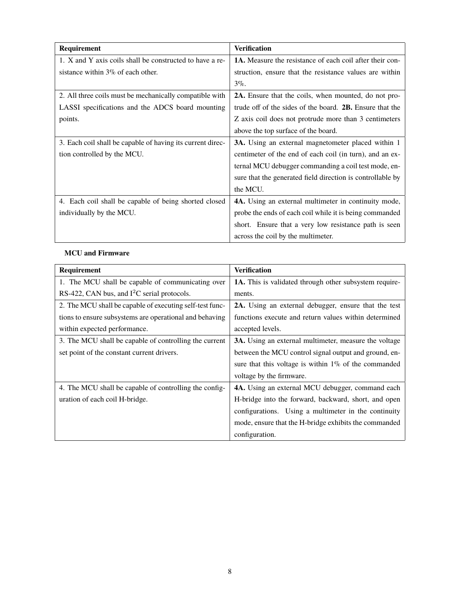| <b>Requirement</b>                                         | <b>Verification</b>                                             |
|------------------------------------------------------------|-----------------------------------------------------------------|
| 1. X and Y axis coils shall be constructed to have a re-   | <b>1A.</b> Measure the resistance of each coil after their con- |
| sistance within $3\%$ of each other.                       | struction, ensure that the resistance values are within         |
|                                                            | $3\%$ .                                                         |
| 2. All three coils must be mechanically compatible with    | <b>2A.</b> Ensure that the coils, when mounted, do not pro-     |
| LASSI specifications and the ADCS board mounting           | trude off of the sides of the board. <b>2B.</b> Ensure that the |
| points.                                                    | Z axis coil does not protrude more than 3 centimeters           |
|                                                            | above the top surface of the board.                             |
| 3. Each coil shall be capable of having its current direc- | <b>3A.</b> Using an external magnetometer placed within 1       |
| tion controlled by the MCU.                                | centimeter of the end of each coil (in turn), and an ex-        |
|                                                            | ternal MCU debugger commanding a coil test mode, en-            |
|                                                            | sure that the generated field direction is controllable by      |
|                                                            | the MCU.                                                        |
| 4. Each coil shall be capable of being shorted closed      | 4A. Using an external multimeter in continuity mode,            |
| individually by the MCU.                                   | probe the ends of each coil while it is being commanded         |
|                                                            | short. Ensure that a very low resistance path is seen           |
|                                                            | across the coil by the multimeter.                              |

# **MCU and Firmware**

| Requirement                                              | <b>Verification</b>                                           |
|----------------------------------------------------------|---------------------------------------------------------------|
| 1. The MCU shall be capable of communicating over        | <b>1A.</b> This is validated through other subsystem require- |
| RS-422, CAN bus, and $I2C$ serial protocols.             | ments.                                                        |
| 2. The MCU shall be capable of executing self-test func- | 2A. Using an external debugger, ensure that the test          |
| tions to ensure subsystems are operational and behaving  | functions execute and return values within determined         |
| within expected performance.                             | accepted levels.                                              |
| 3. The MCU shall be capable of controlling the current   | <b>3A.</b> Using an external multimeter, measure the voltage  |
| set point of the constant current drivers.               | between the MCU control signal output and ground, en-         |
|                                                          | sure that this voltage is within $1\%$ of the commanded       |
|                                                          | voltage by the firmware.                                      |
| 4. The MCU shall be capable of controlling the config-   | 4A. Using an external MCU debugger, command each              |
| uration of each coil H-bridge.                           | H-bridge into the forward, backward, short, and open          |
|                                                          | configurations. Using a multimeter in the continuity          |
|                                                          | mode, ensure that the H-bridge exhibits the commanded         |
|                                                          | configuration.                                                |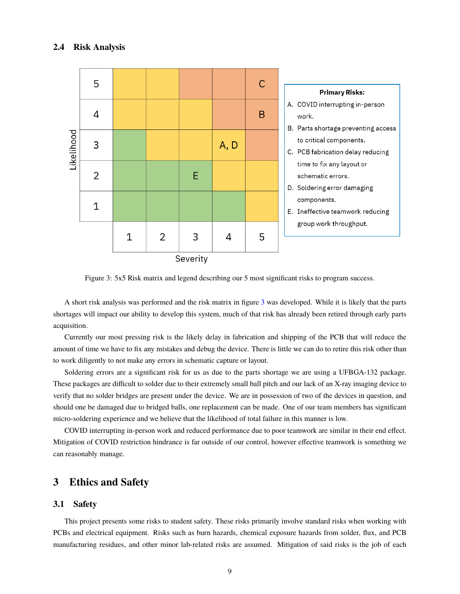#### **2.4 Risk Analysis**

<span id="page-8-0"></span>

Figure 3: 5x5 Risk matrix and legend describing our 5 most significant risks to program success.

A short risk analysis was performed and the risk matrix in figure [3](#page-8-0) was developed. While it is likely that the parts shortages will impact our ability to develop this system, much of that risk has already been retired through early parts acquisition.

Currently our most pressing risk is the likely delay in fabrication and shipping of the PCB that will reduce the amount of time we have to fix any mistakes and debug the device. There is little we can do to retire this risk other than to work diligently to not make any errors in schematic capture or layout.

Soldering errors are a significant risk for us as due to the parts shortage we are using a UFBGA-132 package. These packages are difficult to solder due to their extremely small ball pitch and our lack of an X-ray imaging device to verify that no solder bridges are present under the device. We are in possession of two of the devices in question, and should one be damaged due to bridged balls, one replacement can be made. One of our team members has significant micro-soldering experience and we believe that the likelihood of total failure in this manner is low.

COVID interrupting in-person work and reduced performance due to poor teamwork are similar in their end effect. Mitigation of COVID restriction hindrance is far outside of our control, however effective teamwork is something we can reasonably manage.

# **3 Ethics and Safety**

#### **3.1 Safety**

This project presents some risks to student safety. These risks primarily involve standard risks when working with PCBs and electrical equipment. Risks such as burn hazards, chemical exposure hazards from solder, flux, and PCB manufacturing residues, and other minor lab-related risks are assumed. Mitigation of said risks is the job of each